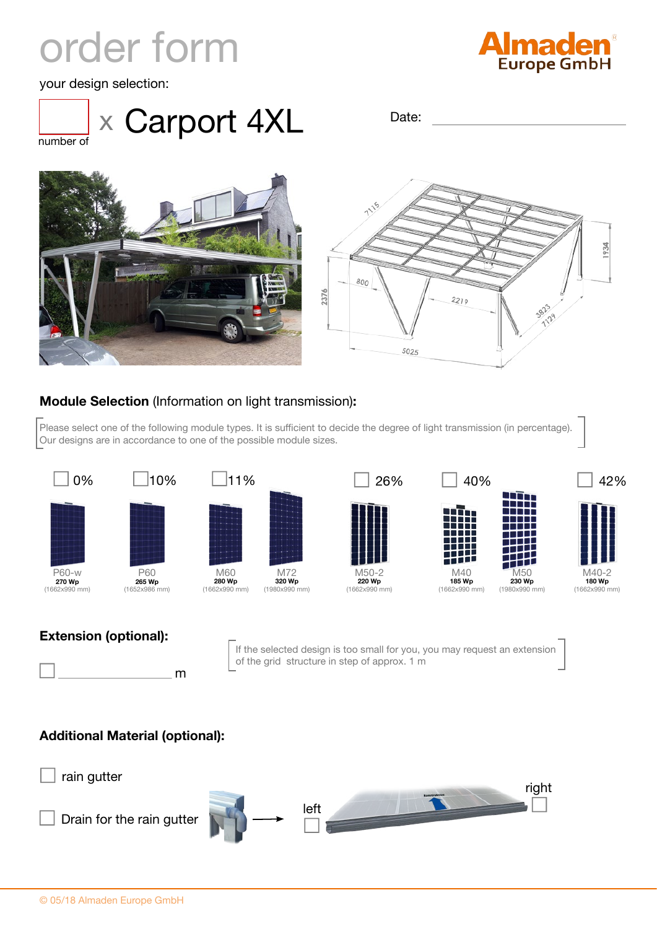## order form



your design selection:



Date:







## **Module Selection** (Information on light transmission)**:**

Please select one of the following module types. It is sufficient to decide the degree of light transmission (in percentage). Our designs are in accordance to one of the possible module sizes.



## **Extension (optional):**

m

If the selected design is too small for you, you may request an extension of the grid structure in step of approx. 1 m

## **Additional Material (optional):**